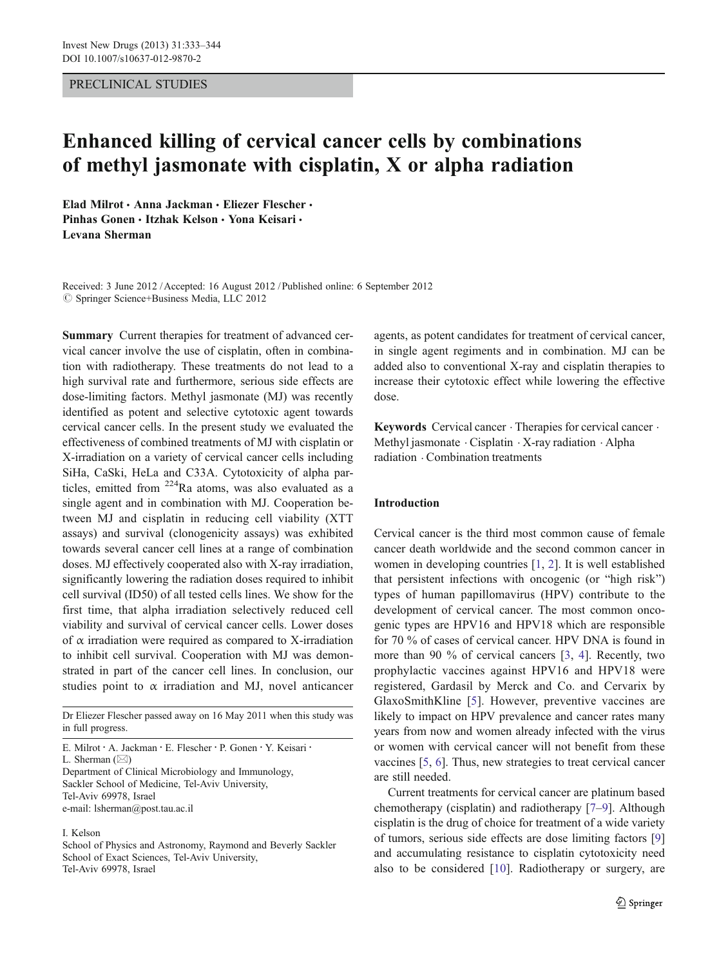## PRECLINICAL STUDIES

# Enhanced killing of cervical cancer cells by combinations of methyl jasmonate with cisplatin, X or alpha radiation

Elad Milrot · Anna Jackman · Eliezer Flescher · Pinhas Gonen • Itzhak Kelson • Yona Keisari • Levana Sherman

Received: 3 June 2012 /Accepted: 16 August 2012 / Published online: 6 September 2012  $\oslash$  Springer Science+Business Media, LLC 2012

Summary Current therapies for treatment of advanced cervical cancer involve the use of cisplatin, often in combination with radiotherapy. These treatments do not lead to a high survival rate and furthermore, serious side effects are dose-limiting factors. Methyl jasmonate (MJ) was recently identified as potent and selective cytotoxic agent towards cervical cancer cells. In the present study we evaluated the effectiveness of combined treatments of MJ with cisplatin or X-irradiation on a variety of cervical cancer cells including SiHa, CaSki, HeLa and C33A. Cytotoxicity of alpha particles, emitted from  $224$ Ra atoms, was also evaluated as a single agent and in combination with MJ. Cooperation between MJ and cisplatin in reducing cell viability (XTT assays) and survival (clonogenicity assays) was exhibited towards several cancer cell lines at a range of combination doses. MJ effectively cooperated also with X-ray irradiation, significantly lowering the radiation doses required to inhibit cell survival (ID50) of all tested cells lines. We show for the first time, that alpha irradiation selectively reduced cell viability and survival of cervical cancer cells. Lower doses of  $\alpha$  irradiation were required as compared to X-irradiation to inhibit cell survival. Cooperation with MJ was demonstrated in part of the cancer cell lines. In conclusion, our studies point to  $\alpha$  irradiation and MJ, novel anticancer

Dr Eliezer Flescher passed away on 16 May 2011 when this study was in full progress.

E. Milrot : A. Jackman : E. Flescher : P. Gonen : Y. Keisari : L. Sherman  $(\boxtimes)$ Department of Clinical Microbiology and Immunology, Sackler School of Medicine, Tel-Aviv University, Tel-Aviv 69978, Israel

e-mail: lsherman@post.tau.ac.il

#### I. Kelson

School of Physics and Astronomy, Raymond and Beverly Sackler School of Exact Sciences, Tel-Aviv University, Tel-Aviv 69978, Israel

agents, as potent candidates for treatment of cervical cancer, in single agent regiments and in combination. MJ can be added also to conventional X-ray and cisplatin therapies to increase their cytotoxic effect while lowering the effective dose.

Keywords Cervical cancer . Therapies for cervical cancer . Methyl jasmonate . Cisplatin . X-ray radiation . Alpha radiation . Combination treatments

#### Introduction

Cervical cancer is the third most common cause of female cancer death worldwide and the second common cancer in women in developing countries [\[1](#page-10-0), [2\]](#page-10-0). It is well established that persistent infections with oncogenic (or "high risk") types of human papillomavirus (HPV) contribute to the development of cervical cancer. The most common oncogenic types are HPV16 and HPV18 which are responsible for 70 % of cases of cervical cancer. HPV DNA is found in more than 90 % of cervical cancers [\[3](#page-10-0), [4\]](#page-10-0). Recently, two prophylactic vaccines against HPV16 and HPV18 were registered, Gardasil by Merck and Co. and Cervarix by GlaxoSmithKline [[5\]](#page-10-0). However, preventive vaccines are likely to impact on HPV prevalence and cancer rates many years from now and women already infected with the virus or women with cervical cancer will not benefit from these vaccines [\[5](#page-10-0), [6](#page-10-0)]. Thus, new strategies to treat cervical cancer are still needed.

Current treatments for cervical cancer are platinum based chemotherapy (cisplatin) and radiotherapy [[7](#page-10-0)–[9\]](#page-10-0). Although cisplatin is the drug of choice for treatment of a wide variety of tumors, serious side effects are dose limiting factors [\[9](#page-10-0)] and accumulating resistance to cisplatin cytotoxicity need also to be considered [\[10](#page-10-0)]. Radiotherapy or surgery, are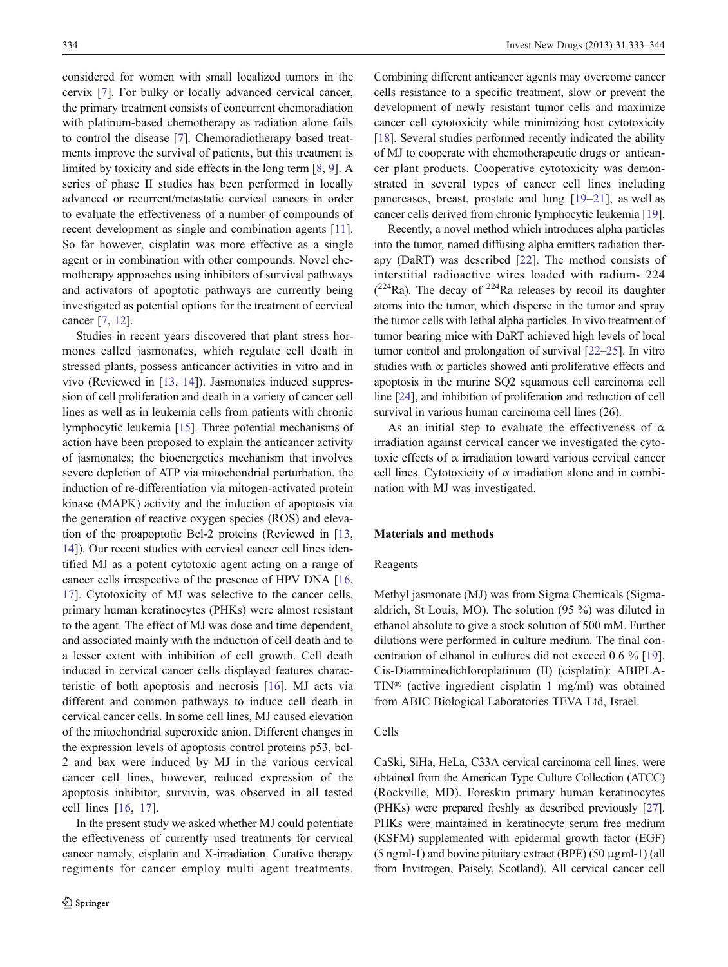considered for women with small localized tumors in the cervix [[7\]](#page-10-0). For bulky or locally advanced cervical cancer, the primary treatment consists of concurrent chemoradiation with platinum-based chemotherapy as radiation alone fails to control the disease [\[7](#page-10-0)]. Chemoradiotherapy based treatments improve the survival of patients, but this treatment is limited by toxicity and side effects in the long term [[8,](#page-10-0) [9\]](#page-10-0). A series of phase II studies has been performed in locally advanced or recurrent/metastatic cervical cancers in order to evaluate the effectiveness of a number of compounds of recent development as single and combination agents [[11](#page-10-0)]. So far however, cisplatin was more effective as a single agent or in combination with other compounds. Novel chemotherapy approaches using inhibitors of survival pathways and activators of apoptotic pathways are currently being investigated as potential options for the treatment of cervical cancer [[7,](#page-10-0) [12](#page-10-0)].

Studies in recent years discovered that plant stress hormones called jasmonates, which regulate cell death in stressed plants, possess anticancer activities in vitro and in vivo (Reviewed in [\[13](#page-10-0), [14](#page-10-0)]). Jasmonates induced suppression of cell proliferation and death in a variety of cancer cell lines as well as in leukemia cells from patients with chronic lymphocytic leukemia [\[15](#page-10-0)]. Three potential mechanisms of action have been proposed to explain the anticancer activity of jasmonates; the bioenergetics mechanism that involves severe depletion of ATP via mitochondrial perturbation, the induction of re-differentiation via mitogen-activated protein kinase (MAPK) activity and the induction of apoptosis via the generation of reactive oxygen species (ROS) and elevation of the proapoptotic Bcl-2 proteins (Reviewed in [[13,](#page-10-0) [14](#page-10-0)]). Our recent studies with cervical cancer cell lines identified MJ as a potent cytotoxic agent acting on a range of cancer cells irrespective of the presence of HPV DNA [[16,](#page-10-0) [17](#page-10-0)]. Cytotoxicity of MJ was selective to the cancer cells, primary human keratinocytes (PHKs) were almost resistant to the agent. The effect of MJ was dose and time dependent, and associated mainly with the induction of cell death and to a lesser extent with inhibition of cell growth. Cell death induced in cervical cancer cells displayed features characteristic of both apoptosis and necrosis [\[16](#page-10-0)]. MJ acts via different and common pathways to induce cell death in cervical cancer cells. In some cell lines, MJ caused elevation of the mitochondrial superoxide anion. Different changes in the expression levels of apoptosis control proteins p53, bcl-2 and bax were induced by MJ in the various cervical cancer cell lines, however, reduced expression of the apoptosis inhibitor, survivin, was observed in all tested cell lines [[16](#page-10-0), [17](#page-10-0)].

In the present study we asked whether MJ could potentiate the effectiveness of currently used treatments for cervical cancer namely, cisplatin and X-irradiation. Curative therapy regiments for cancer employ multi agent treatments.

Combining different anticancer agents may overcome cancer cells resistance to a specific treatment, slow or prevent the development of newly resistant tumor cells and maximize cancer cell cytotoxicity while minimizing host cytotoxicity [\[18](#page-10-0)]. Several studies performed recently indicated the ability of MJ to cooperate with chemotherapeutic drugs or anticancer plant products. Cooperative cytotoxicity was demonstrated in several types of cancer cell lines including pancreases, breast, prostate and lung [\[19](#page-10-0)–[21](#page-10-0)], as well as cancer cells derived from chronic lymphocytic leukemia [[19\]](#page-10-0).

Recently, a novel method which introduces alpha particles into the tumor, named diffusing alpha emitters radiation therapy (DaRT) was described [\[22\]](#page-10-0). The method consists of interstitial radioactive wires loaded with radium- 224  $(^{224}$ Ra). The decay of  $^{224}$ Ra releases by recoil its daughter atoms into the tumor, which disperse in the tumor and spray the tumor cells with lethal alpha particles. In vivo treatment of tumor bearing mice with DaRT achieved high levels of local tumor control and prolongation of survival [[22](#page-10-0)–[25](#page-10-0)]. In vitro studies with  $\alpha$  particles showed anti-proliferative effects and apoptosis in the murine SQ2 squamous cell carcinoma cell line [\[24](#page-10-0)], and inhibition of proliferation and reduction of cell survival in various human carcinoma cell lines (26).

As an initial step to evaluate the effectiveness of  $\alpha$ irradiation against cervical cancer we investigated the cytotoxic effects of α irradiation toward various cervical cancer cell lines. Cytotoxicity of  $\alpha$  irradiation alone and in combination with MJ was investigated.

#### Materials and methods

#### Reagents

Methyl jasmonate (MJ) was from Sigma Chemicals (Sigmaaldrich, St Louis, MO). The solution (95 %) was diluted in ethanol absolute to give a stock solution of 500 mM. Further dilutions were performed in culture medium. The final concentration of ethanol in cultures did not exceed 0.6 % [[19\]](#page-10-0). Cis-Diamminedichloroplatinum (II) (cisplatin): ABIPLA-TIN® (active ingredient cisplatin 1 mg/ml) was obtained from ABIC Biological Laboratories TEVA Ltd, Israel.

## Cells

CaSki, SiHa, HeLa, C33A cervical carcinoma cell lines, were obtained from the American Type Culture Collection (ATCC) (Rockville, MD). Foreskin primary human keratinocytes (PHKs) were prepared freshly as described previously [\[27\]](#page-10-0). PHKs were maintained in keratinocyte serum free medium (KSFM) supplemented with epidermal growth factor (EGF)  $(5 \text{ ngml-1})$  and bovine pituitary extract (BPE)  $(50 \text{ µgml-1})$  (all from Invitrogen, Paisely, Scotland). All cervical cancer cell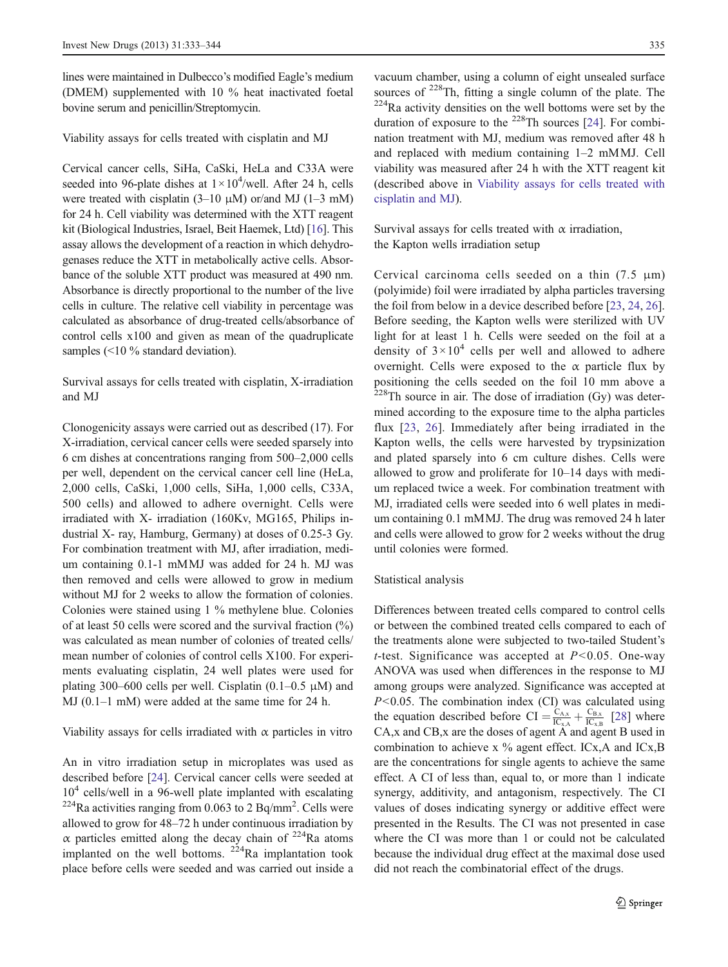lines were maintained in Dulbecco's modified Eagle's medium (DMEM) supplemented with 10 % heat inactivated foetal bovine serum and penicillin/Streptomycin.

Viability assays for cells treated with cisplatin and MJ

Cervical cancer cells, SiHa, CaSki, HeLa and C33A were seeded into 96-plate dishes at  $1 \times 10^4$ /well. After 24 h, cells were treated with cisplatin  $(3-10 \mu M)$  or/and MJ  $(1-3 \mu M)$ for 24 h. Cell viability was determined with the XTT reagent kit (Biological Industries, Israel, Beit Haemek, Ltd) [\[16](#page-10-0)]. This assay allows the development of a reaction in which dehydrogenases reduce the XTT in metabolically active cells. Absorbance of the soluble XTT product was measured at 490 nm. Absorbance is directly proportional to the number of the live cells in culture. The relative cell viability in percentage was calculated as absorbance of drug-treated cells/absorbance of control cells x100 and given as mean of the quadruplicate samples (<10 % standard deviation).

Survival assays for cells treated with cisplatin, X-irradiation and MJ

Clonogenicity assays were carried out as described (17). For X-irradiation, cervical cancer cells were seeded sparsely into 6 cm dishes at concentrations ranging from 500–2,000 cells per well, dependent on the cervical cancer cell line (HeLa, 2,000 cells, CaSki, 1,000 cells, SiHa, 1,000 cells, C33A, 500 cells) and allowed to adhere overnight. Cells were irradiated with X- irradiation (160Kv, MG165, Philips industrial X- ray, Hamburg, Germany) at doses of 0.25-3 Gy. For combination treatment with MJ, after irradiation, medium containing 0.1-1 mMMJ was added for 24 h. MJ was then removed and cells were allowed to grow in medium without MJ for 2 weeks to allow the formation of colonies. Colonies were stained using 1 % methylene blue. Colonies of at least 50 cells were scored and the survival fraction (%) was calculated as mean number of colonies of treated cells/ mean number of colonies of control cells X100. For experiments evaluating cisplatin, 24 well plates were used for plating 300–600 cells per well. Cisplatin  $(0.1-0.5 \mu M)$  and MJ (0.1–1 mM) were added at the same time for 24 h.

Viability assays for cells irradiated with  $\alpha$  particles in vitro

An in vitro irradiation setup in microplates was used as described before [[24\]](#page-10-0). Cervical cancer cells were seeded at  $10<sup>4</sup>$  cells/well in a 96-well plate implanted with escalating  $^{224}$ Ra activities ranging from 0.063 to 2 Bq/mm<sup>2</sup>. Cells were allowed to grow for 48–72 h under continuous irradiation by α particles emitted along the decay chain of  $224$ Ra atoms implanted on the well bottoms.  $224$ Ra implantation took place before cells were seeded and was carried out inside a

vacuum chamber, using a column of eight unsealed surface sources of  $^{228}$ Th, fitting a single column of the plate. The  $^{224}$ Ra activity densities on the well bottoms were set by the duration of exposure to the  $^{228}$ Th sources [\[24](#page-10-0)]. For combination treatment with MJ, medium was removed after 48 h and replaced with medium containing 1–2 mMMJ. Cell viability was measured after 24 h with the XTT reagent kit (described above in Viability assays for cells treated with cisplatin and MJ).

Survival assays for cells treated with  $\alpha$  irradiation, the Kapton wells irradiation setup

Cervical carcinoma cells seeded on a thin (7.5 μm) (polyimide) foil were irradiated by alpha particles traversing the foil from below in a device described before [\[23](#page-10-0), [24,](#page-10-0) [26\]](#page-10-0). Before seeding, the Kapton wells were sterilized with UV light for at least 1 h. Cells were seeded on the foil at a density of  $3 \times 10^4$  cells per well and allowed to adhere overnight. Cells were exposed to the  $\alpha$  particle flux by positioning the cells seeded on the foil 10 mm above a  $228$ Th source in air. The dose of irradiation (Gy) was determined according to the exposure time to the alpha particles flux [[23,](#page-10-0) [26](#page-10-0)]. Immediately after being irradiated in the Kapton wells, the cells were harvested by trypsinization and plated sparsely into 6 cm culture dishes. Cells were allowed to grow and proliferate for 10–14 days with medium replaced twice a week. For combination treatment with MJ, irradiated cells were seeded into 6 well plates in medium containing 0.1 mMMJ. The drug was removed 24 h later and cells were allowed to grow for 2 weeks without the drug until colonies were formed.

## Statistical analysis

Differences between treated cells compared to control cells or between the combined treated cells compared to each of the treatments alone were subjected to two-tailed Student's t-test. Significance was accepted at  $P < 0.05$ . One-way ANOVA was used when differences in the response to MJ among groups were analyzed. Significance was accepted at  $P<0.05$ . The combination index (CI) was calculated using the equation described before CI =  $\frac{C_{A,x}}{IC_{x,A}} + \frac{C_{B,x}}{IC_{x,B}}$  [\[28](#page-10-0)] where CA,x and CB,x are the doses of agent A and agent B used in combination to achieve x  $\%$  agent effect. ICx, A and ICx, B are the concentrations for single agents to achieve the same effect. A CI of less than, equal to, or more than 1 indicate synergy, additivity, and antagonism, respectively. The CI values of doses indicating synergy or additive effect were presented in the Results. The CI was not presented in case where the CI was more than 1 or could not be calculated because the individual drug effect at the maximal dose used did not reach the combinatorial effect of the drugs.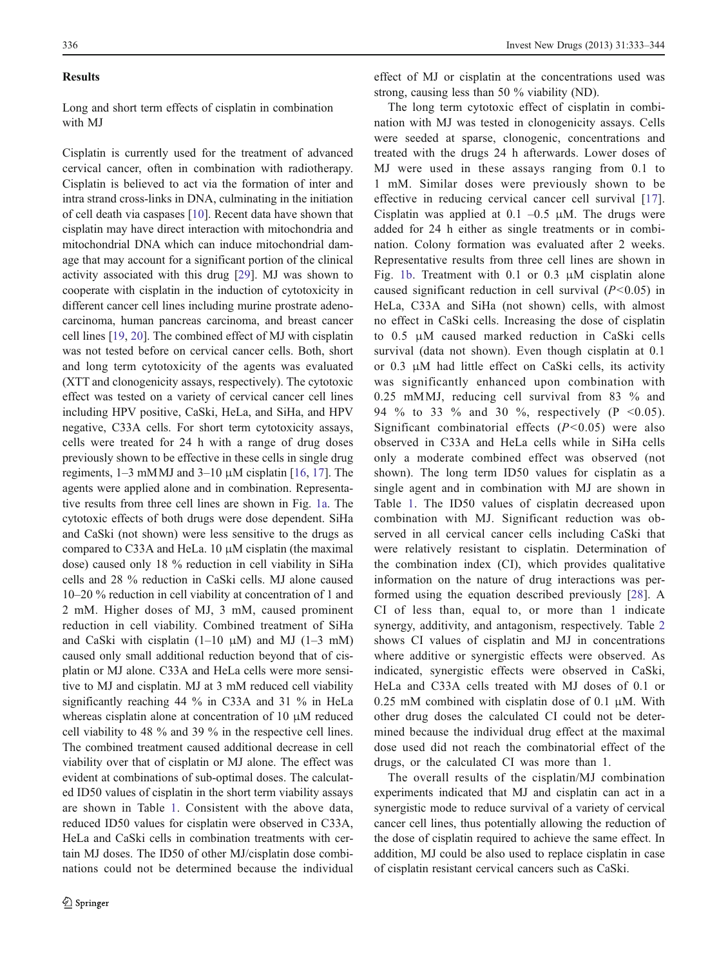#### Results

Long and short term effects of cisplatin in combination with MJ

Cisplatin is currently used for the treatment of advanced cervical cancer, often in combination with radiotherapy. Cisplatin is believed to act via the formation of inter and intra strand cross-links in DNA, culminating in the initiation of cell death via caspases [\[10](#page-10-0)]. Recent data have shown that cisplatin may have direct interaction with mitochondria and mitochondrial DNA which can induce mitochondrial damage that may account for a significant portion of the clinical activity associated with this drug [\[29](#page-11-0)]. MJ was shown to cooperate with cisplatin in the induction of cytotoxicity in different cancer cell lines including murine prostrate adenocarcinoma, human pancreas carcinoma, and breast cancer cell lines [\[19](#page-10-0), [20](#page-10-0)]. The combined effect of MJ with cisplatin was not tested before on cervical cancer cells. Both, short and long term cytotoxicity of the agents was evaluated (XTT and clonogenicity assays, respectively). The cytotoxic effect was tested on a variety of cervical cancer cell lines including HPV positive, CaSki, HeLa, and SiHa, and HPV negative, C33A cells. For short term cytotoxicity assays, cells were treated for 24 h with a range of drug doses previously shown to be effective in these cells in single drug regiments,  $1-3$  mMMJ and  $3-10$   $\mu$ M cisplatin [[16,](#page-10-0) [17\]](#page-10-0). The agents were applied alone and in combination. Representative results from three cell lines are shown in Fig. [1a.](#page-4-0) The cytotoxic effects of both drugs were dose dependent. SiHa and CaSki (not shown) were less sensitive to the drugs as compared to C33A and HeLa. 10  $\mu$ M cisplatin (the maximal dose) caused only 18 % reduction in cell viability in SiHa cells and 28 % reduction in CaSki cells. MJ alone caused 10–20 % reduction in cell viability at concentration of 1 and 2 mM. Higher doses of MJ, 3 mM, caused prominent reduction in cell viability. Combined treatment of SiHa and CaSki with cisplatin  $(1-10 \mu M)$  and MJ  $(1-3 \mu M)$ caused only small additional reduction beyond that of cisplatin or MJ alone. C33A and HeLa cells were more sensitive to MJ and cisplatin. MJ at 3 mM reduced cell viability significantly reaching 44 % in C33A and 31 % in HeLa whereas cisplatin alone at concentration of 10 μM reduced cell viability to 48 % and 39 % in the respective cell lines. The combined treatment caused additional decrease in cell viability over that of cisplatin or MJ alone. The effect was evident at combinations of sub-optimal doses. The calculated ID50 values of cisplatin in the short term viability assays are shown in Table [1.](#page-4-0) Consistent with the above data, reduced ID50 values for cisplatin were observed in C33A, HeLa and CaSki cells in combination treatments with certain MJ doses. The ID50 of other MJ/cisplatin dose combinations could not be determined because the individual effect of MJ or cisplatin at the concentrations used was strong, causing less than 50 % viability (ND).

The long term cytotoxic effect of cisplatin in combination with MJ was tested in clonogenicity assays. Cells were seeded at sparse, clonogenic, concentrations and treated with the drugs 24 h afterwards. Lower doses of MJ were used in these assays ranging from 0.1 to 1 mM. Similar doses were previously shown to be effective in reducing cervical cancer cell survival [\[17](#page-10-0)]. Cisplatin was applied at 0.1 –0.5  $\mu$ M. The drugs were added for 24 h either as single treatments or in combination. Colony formation was evaluated after 2 weeks. Representative results from three cell lines are shown in Fig. [1b](#page-4-0). Treatment with 0.1 or 0.3 μM cisplatin alone caused significant reduction in cell survival  $(P<0.05)$  in HeLa, C33A and SiHa (not shown) cells, with almost no effect in CaSki cells. Increasing the dose of cisplatin to 0.5 μM caused marked reduction in CaSki cells survival (data not shown). Even though cisplatin at 0.1 or 0.3 μM had little effect on CaSki cells, its activity was significantly enhanced upon combination with 0.25 mMMJ, reducing cell survival from 83 % and 94 % to 33 % and 30 %, respectively (P <0.05). Significant combinatorial effects  $(P<0.05)$  were also observed in C33A and HeLa cells while in SiHa cells only a moderate combined effect was observed (not shown). The long term ID50 values for cisplatin as a single agent and in combination with MJ are shown in Table [1.](#page-4-0) The ID50 values of cisplatin decreased upon combination with MJ. Significant reduction was observed in all cervical cancer cells including CaSki that were relatively resistant to cisplatin. Determination of the combination index (CI), which provides qualitative information on the nature of drug interactions was performed using the equation described previously [\[28\]](#page-10-0). A CI of less than, equal to, or more than 1 indicate synergy, additivity, and antagonism, respectively. Table [2](#page-5-0) shows CI values of cisplatin and MJ in concentrations where additive or synergistic effects were observed. As indicated, synergistic effects were observed in CaSki, HeLa and C33A cells treated with MJ doses of 0.1 or 0.25 mM combined with cisplatin dose of 0.1  $\mu$ M. With other drug doses the calculated CI could not be determined because the individual drug effect at the maximal dose used did not reach the combinatorial effect of the drugs, or the calculated CI was more than 1.

The overall results of the cisplatin/MJ combination experiments indicated that MJ and cisplatin can act in a synergistic mode to reduce survival of a variety of cervical cancer cell lines, thus potentially allowing the reduction of the dose of cisplatin required to achieve the same effect. In addition, MJ could be also used to replace cisplatin in case of cisplatin resistant cervical cancers such as CaSki.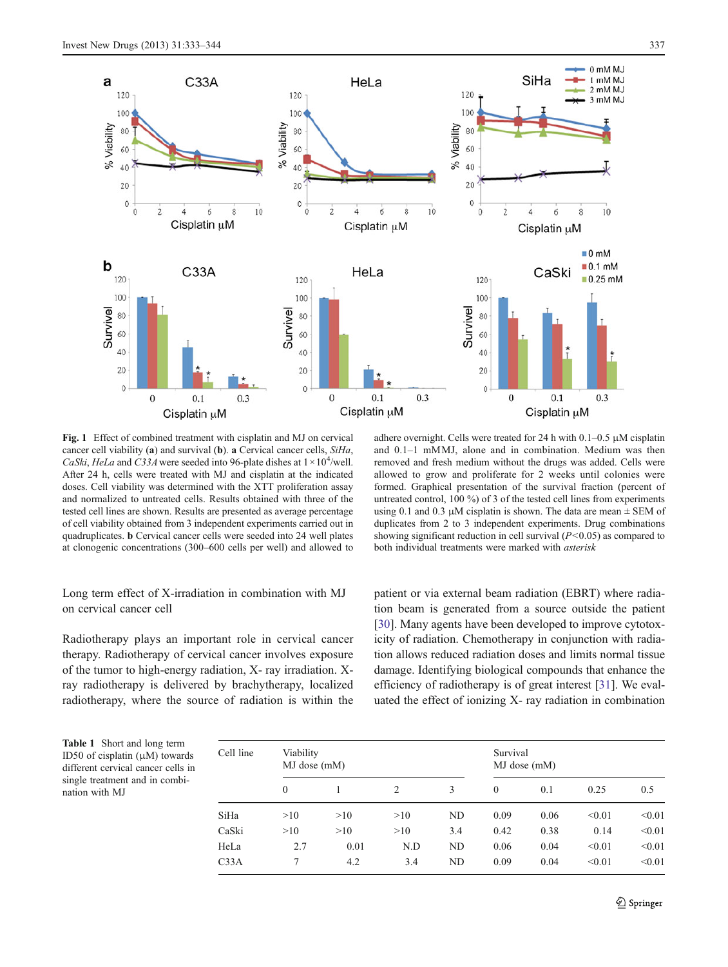<span id="page-4-0"></span>

Fig. 1 Effect of combined treatment with cisplatin and MJ on cervical cancer cell viability (a) and survival (b). a Cervical cancer cells, SiHa, CaSki, HeLa and C33A were seeded into 96-plate dishes at  $1 \times 10^4$ /well. After 24 h, cells were treated with MJ and cisplatin at the indicated doses. Cell viability was determined with the XTT proliferation assay and normalized to untreated cells. Results obtained with three of the tested cell lines are shown. Results are presented as average percentage of cell viability obtained from 3 independent experiments carried out in quadruplicates. b Cervical cancer cells were seeded into 24 well plates at clonogenic concentrations (300–600 cells per well) and allowed to

## removed and fresh medium without the drugs was added. Cells were allowed to grow and proliferate for 2 weeks until colonies were formed. Graphical presentation of the survival fraction (percent of untreated control, 100 %) of 3 of the tested cell lines from experiments using 0.1 and 0.3  $\mu$ M cisplatin is shown. The data are mean  $\pm$  SEM of duplicates from 2 to 3 independent experiments. Drug combinations showing significant reduction in cell survival  $(P<0.05)$  as compared to both individual treatments were marked with asterisk

and 0.1–1 mMMJ, alone and in combination. Medium was then

## Long term effect of X-irradiation in combination with MJ on cervical cancer cell

Radiotherapy plays an important role in cervical cancer therapy. Radiotherapy of cervical cancer involves exposure of the tumor to high-energy radiation, X- ray irradiation. Xray radiotherapy is delivered by brachytherapy, localized radiotherapy, where the source of radiation is within the patient or via external beam radiation (EBRT) where radiation beam is generated from a source outside the patient [\[30](#page-11-0)]. Many agents have been developed to improve cytotoxicity of radiation. Chemotherapy in conjunction with radiation allows reduced radiation doses and limits normal tissue damage. Identifying biological compounds that enhance the efficiency of radiotherapy is of great interest [\[31](#page-11-0)]. We evaluated the effect of ionizing X- ray radiation in combination

Table 1 Short and long term ID50 of cisplatin (μM) towards different cervical cancer cells in single treatment and in combination with MJ

| Cell line | Viability<br>MJ dose (mM) |      |                |     | Survival<br>MJ dose (mM) |      |        |        |
|-----------|---------------------------|------|----------------|-----|--------------------------|------|--------|--------|
|           | $\mathbf{0}$              |      | $\mathfrak{D}$ | 3   | $\Omega$                 | 0.1  | 0.25   | 0.5    |
| SiHa      | >10                       | >10  | >10            | ND  | 0.09                     | 0.06 | < 0.01 | < 0.01 |
| CaSki     | >10                       | >10  | >10            | 3.4 | 0.42                     | 0.38 | 0.14   | < 0.01 |
| HeLa      | 2.7                       | 0.01 | N.D            | ND  | 0.06                     | 0.04 | < 0.01 | < 0.01 |
| C33A      |                           | 4.2  | 3.4            | ND  | 0.09                     | 0.04 | < 0.01 | < 0.01 |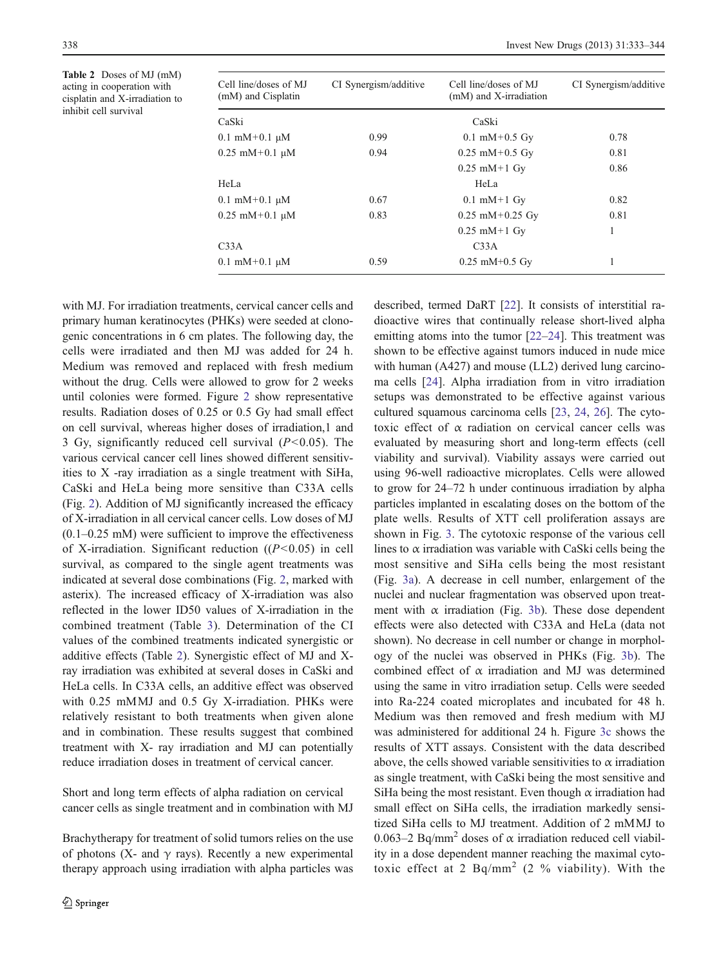<span id="page-5-0"></span>Table 2 Doses of MJ (mM) acting in cooperation with cisplatin and X-irradiation to inhibit cell survival

| Cell line/doses of MJ<br>(mM) and Cisplatin | CI Synergism/additive | Cell line/doses of MJ<br>(mM) and X-irradiation | CI Synergism/additive |
|---------------------------------------------|-----------------------|-------------------------------------------------|-----------------------|
| CaSki                                       |                       | CaSki                                           |                       |
| $0.1 \text{ mM} + 0.1 \text{ µM}$           | 0.99                  | $0.1 \text{ mM} + 0.5 \text{ Gy}$               | 0.78                  |
| $0.25$ mM+0.1 $\mu$ M                       | 0.94                  | $0.25$ mM $+0.5$ Gy                             | 0.81                  |
|                                             |                       | $0.25$ mM $+1$ Gy                               | 0.86                  |
| HeLa                                        |                       | HeLa                                            |                       |
| $0.1 \text{ mM} + 0.1 \text{ µM}$           | 0.67                  | $0.1$ mM $+1$ Gy                                | 0.82                  |
| $0.25$ mM+0.1 $\mu$ M                       | 0.83                  | $0.25$ mM $+0.25$ Gy                            | 0.81                  |
|                                             |                       | $0.25$ mM $+1$ Gy                               | 1                     |
| C33A                                        |                       | C33A                                            |                       |
| $0.1 \text{ mM} + 0.1 \text{ µM}$           | 0.59                  | $0.25$ mM $+0.5$ Gy                             |                       |

with MJ. For irradiation treatments, cervical cancer cells and primary human keratinocytes (PHKs) were seeded at clonogenic concentrations in 6 cm plates. The following day, the cells were irradiated and then MJ was added for 24 h. Medium was removed and replaced with fresh medium without the drug. Cells were allowed to grow for 2 weeks until colonies were formed. Figure [2](#page-6-0) show representative results. Radiation doses of 0.25 or 0.5 Gy had small effect on cell survival, whereas higher doses of irradiation,1 and 3 Gy, significantly reduced cell survival  $(P<0.05)$ . The various cervical cancer cell lines showed different sensitivities to X -ray irradiation as a single treatment with SiHa, CaSki and HeLa being more sensitive than C33A cells (Fig. [2\)](#page-6-0). Addition of MJ significantly increased the efficacy of X-irradiation in all cervical cancer cells. Low doses of MJ (0.1–0.25 mM) were sufficient to improve the effectiveness of X-irradiation. Significant reduction  $((P<0.05)$  in cell survival, as compared to the single agent treatments was indicated at several dose combinations (Fig. [2,](#page-6-0) marked with asterix). The increased efficacy of X-irradiation was also reflected in the lower ID50 values of X-irradiation in the combined treatment (Table [3\)](#page-6-0). Determination of the CI values of the combined treatments indicated synergistic or additive effects (Table 2). Synergistic effect of MJ and Xray irradiation was exhibited at several doses in CaSki and HeLa cells. In C33A cells, an additive effect was observed with 0.25 mMMJ and 0.5 Gy X-irradiation. PHKs were relatively resistant to both treatments when given alone and in combination. These results suggest that combined treatment with X- ray irradiation and MJ can potentially reduce irradiation doses in treatment of cervical cancer.

Short and long term effects of alpha radiation on cervical cancer cells as single treatment and in combination with MJ

Brachytherapy for treatment of solid tumors relies on the use of photons (X- and  $\gamma$  rays). Recently a new experimental therapy approach using irradiation with alpha particles was described, termed DaRT [[22\]](#page-10-0). It consists of interstitial radioactive wires that continually release short-lived alpha emitting atoms into the tumor [[22](#page-10-0)–[24](#page-10-0)]. This treatment was shown to be effective against tumors induced in nude mice with human (A427) and mouse (LL2) derived lung carcinoma cells [[24\]](#page-10-0). Alpha irradiation from in vitro irradiation setups was demonstrated to be effective against various cultured squamous carcinoma cells [\[23](#page-10-0), [24](#page-10-0), [26](#page-10-0)]. The cytotoxic effect of α radiation on cervical cancer cells was evaluated by measuring short and long-term effects (cell viability and survival). Viability assays were carried out using 96-well radioactive microplates. Cells were allowed to grow for 24–72 h under continuous irradiation by alpha particles implanted in escalating doses on the bottom of the plate wells. Results of XTT cell proliferation assays are shown in Fig. [3.](#page-7-0) The cytotoxic response of the various cell lines to  $\alpha$  irradiation was variable with CaSki cells being the most sensitive and SiHa cells being the most resistant (Fig. [3a\)](#page-7-0). A decrease in cell number, enlargement of the nuclei and nuclear fragmentation was observed upon treatment with  $\alpha$  irradiation (Fig. [3b](#page-7-0)). These dose dependent effects were also detected with C33A and HeLa (data not shown). No decrease in cell number or change in morphology of the nuclei was observed in PHKs (Fig. [3b\)](#page-7-0). The combined effect of  $\alpha$  irradiation and MJ was determined using the same in vitro irradiation setup. Cells were seeded into Ra-224 coated microplates and incubated for 48 h. Medium was then removed and fresh medium with MJ was administered for additional 24 h. Figure [3c](#page-7-0) shows the results of XTT assays. Consistent with the data described above, the cells showed variable sensitivities to  $\alpha$  irradiation as single treatment, with CaSki being the most sensitive and SiHa being the most resistant. Even though  $\alpha$  irradiation had small effect on SiHa cells, the irradiation markedly sensitized SiHa cells to MJ treatment. Addition of 2 mMMJ to 0.063–2 Bq/mm<sup>2</sup> doses of  $\alpha$  irradiation reduced cell viability in a dose dependent manner reaching the maximal cytotoxic effect at 2  $Bq/mm^2$  (2 % viability). With the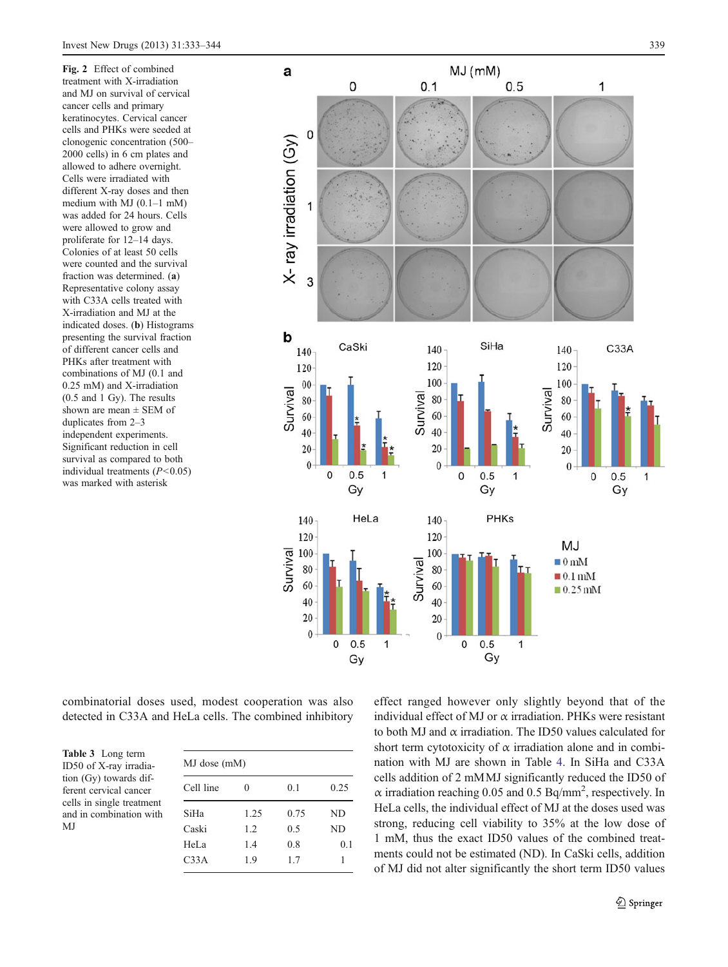<span id="page-6-0"></span>Fig. 2 Effect of combined treatment with X-irradiation and MJ on survival of cervical cancer cells and primary keratinocytes. Cervical cancer cells and PHKs were seeded at clonogenic concentration (500– 2000 cells) in 6 cm plates and allowed to adhere overnight. Cells were irradiated with different X-ray doses and then medium with MJ (0.1–1 mM) was added for 24 hours. Cells were allowed to grow and proliferate for 12–14 days. Colonies of at least 50 cells were counted and the survival fraction was determined. (a) Representative colony assay with C33A cells treated with X-irradiation and MJ at the indicated doses. (b) Histograms presenting the survival fraction of different cancer cells and PHKs after treatment with combinations of MJ (0.1 and 0.25 mM) and X-irradiation (0.5 and 1 Gy). The results shown are mean  $\pm$  SEM of duplicates from 2–3 independent experiments. Significant reduction in cell survival as compared to both individual treatments  $(P<0.05)$ was marked with asterisk



combinatorial doses used, modest cooperation was also detected in C33A and HeLa cells. The combined inhibitory

Table 3 Long term ID50 of X-ray irradiation (Gy) towards different cervical cancer cells in single treatment and in combination with MJ

| MJ dose (mM)     |      |      |      |  |  |
|------------------|------|------|------|--|--|
| Cell line        | 0    | 0.1  | 0.25 |  |  |
| SiHa             | 1.25 | 0.75 | ND   |  |  |
| Caski            | 1.2  | 0.5  | ND   |  |  |
| HeLa             | 1.4  | 0.8  | 0.1  |  |  |
| C <sub>33A</sub> | 1.9  | 1.7  | 1    |  |  |

effect ranged however only slightly beyond that of the individual effect of MJ or  $\alpha$  irradiation. PHKs were resistant to both MJ and  $\alpha$  irradiation. The ID50 values calculated for short term cytotoxicity of  $\alpha$  irradiation alone and in combination with MJ are shown in Table [4](#page-7-0). In SiHa and C33A cells addition of 2 mMMJ significantly reduced the ID50 of  $\alpha$  irradiation reaching 0.05 and 0.5 Bq/mm<sup>2</sup>, respectively. In HeLa cells, the individual effect of MJ at the doses used was strong, reducing cell viability to 35% at the low dose of 1 mM, thus the exact ID50 values of the combined treatments could not be estimated (ND). In CaSki cells, addition of MJ did not alter significantly the short term ID50 values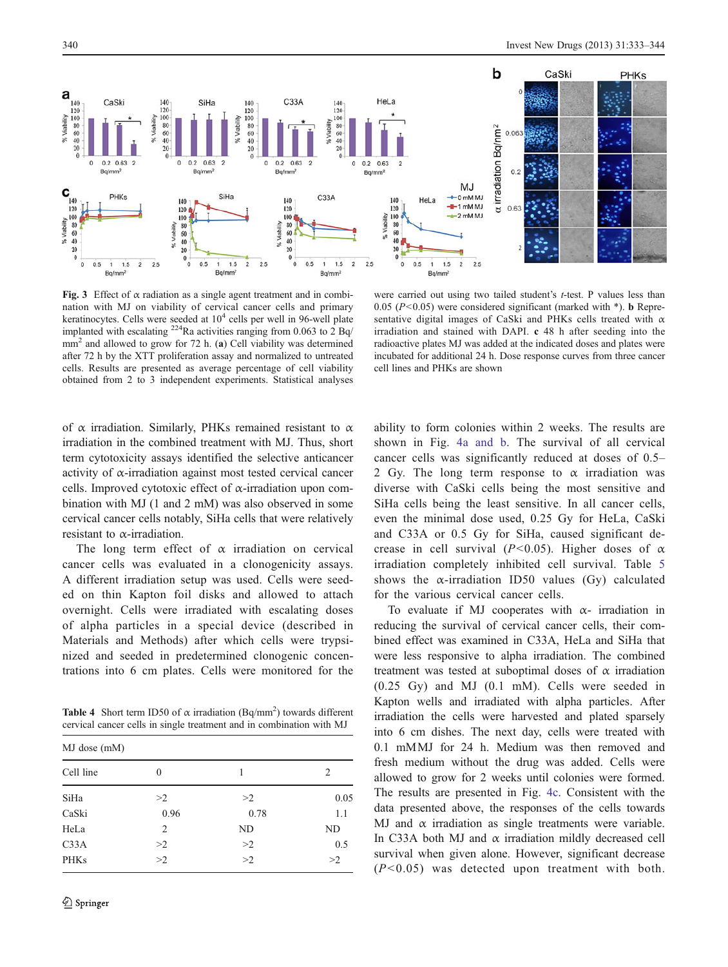<span id="page-7-0"></span>

Fig. 3 Effect of  $\alpha$  radiation as a single agent treatment and in combination with MJ on viability of cervical cancer cells and primary keratinocytes. Cells were seeded at  $10<sup>4</sup>$  cells per well in 96-well plate implanted with escalating <sup>224</sup>Ra activities ranging from 0.063 to  $2$  Bq/  $mm<sup>2</sup>$  and allowed to grow for 72 h. (a) Cell viability was determined after 72 h by the XTT proliferation assay and normalized to untreated cells. Results are presented as average percentage of cell viability obtained from 2 to 3 independent experiments. Statistical analyses

were carried out using two tailed student's t-test. P values less than 0.05 ( $P<0.05$ ) were considered significant (marked with \*). **b** Representative digital images of CaSki and PHKs cells treated with  $\alpha$ irradiation and stained with DAPI. c 48 h after seeding into the radioactive plates MJ was added at the indicated doses and plates were incubated for additional 24 h. Dose response curves from three cancer cell lines and PHKs are shown

of  $\alpha$  irradiation. Similarly, PHKs remained resistant to  $\alpha$ irradiation in the combined treatment with MJ. Thus, short term cytotoxicity assays identified the selective anticancer activity of  $\alpha$ -irradiation against most tested cervical cancer cells. Improved cytotoxic effect of  $\alpha$ -irradiation upon combination with MJ (1 and 2 mM) was also observed in some cervical cancer cells notably, SiHa cells that were relatively resistant to  $\alpha$ -irradiation.

The long term effect of  $\alpha$  irradiation on cervical cancer cells was evaluated in a clonogenicity assays. A different irradiation setup was used. Cells were seeded on thin Kapton foil disks and allowed to attach overnight. Cells were irradiated with escalating doses of alpha particles in a special device (described in Materials and Methods) after which cells were trypsinized and seeded in predetermined clonogenic concentrations into 6 cm plates. Cells were monitored for the

**Table 4** Short term ID50 of  $\alpha$  irradiation (Bq/mm<sup>2</sup>) towards different cervical cancer cells in single treatment and in combination with MJ

| MJ dose (mM) |          |      |      |  |  |
|--------------|----------|------|------|--|--|
| Cell line    | $\theta$ | 1    | 2    |  |  |
| SiHa         | >2       | >2   | 0.05 |  |  |
| CaSki        | 0.96     | 0.78 | 1.1  |  |  |
| HeLa         | 2        | ND   | ND   |  |  |
| C33A         | >2       | >2   | 0.5  |  |  |
| <b>PHKs</b>  | >2       | >2   | >2   |  |  |

ability to form colonies within 2 weeks. The results are shown in Fig. [4a and b](#page-8-0). The survival of all cervical cancer cells was significantly reduced at doses of 0.5– 2 Gy. The long term response to  $\alpha$  irradiation was diverse with CaSki cells being the most sensitive and SiHa cells being the least sensitive. In all cancer cells, even the minimal dose used, 0.25 Gy for HeLa, CaSki and C33A or 0.5 Gy for SiHa, caused significant decrease in cell survival ( $P < 0.05$ ). Higher doses of  $\alpha$ irradiation completely inhibited cell survival. Table [5](#page-8-0) shows the  $\alpha$ -irradiation ID50 values (Gy) calculated for the various cervical cancer cells.

To evaluate if MJ cooperates with  $\alpha$ - irradiation in reducing the survival of cervical cancer cells, their combined effect was examined in C33A, HeLa and SiHa that were less responsive to alpha irradiation. The combined treatment was tested at suboptimal doses of  $\alpha$  irradiation (0.25 Gy) and MJ (0.1 mM). Cells were seeded in Kapton wells and irradiated with alpha particles. After irradiation the cells were harvested and plated sparsely into 6 cm dishes. The next day, cells were treated with 0.1 mMMJ for 24 h. Medium was then removed and fresh medium without the drug was added. Cells were allowed to grow for 2 weeks until colonies were formed. The results are presented in Fig. [4c.](#page-8-0) Consistent with the data presented above, the responses of the cells towards MJ and  $\alpha$  irradiation as single treatments were variable. In C33A both MJ and  $\alpha$  irradiation mildly decreased cell survival when given alone. However, significant decrease  $(P<0.05)$  was detected upon treatment with both.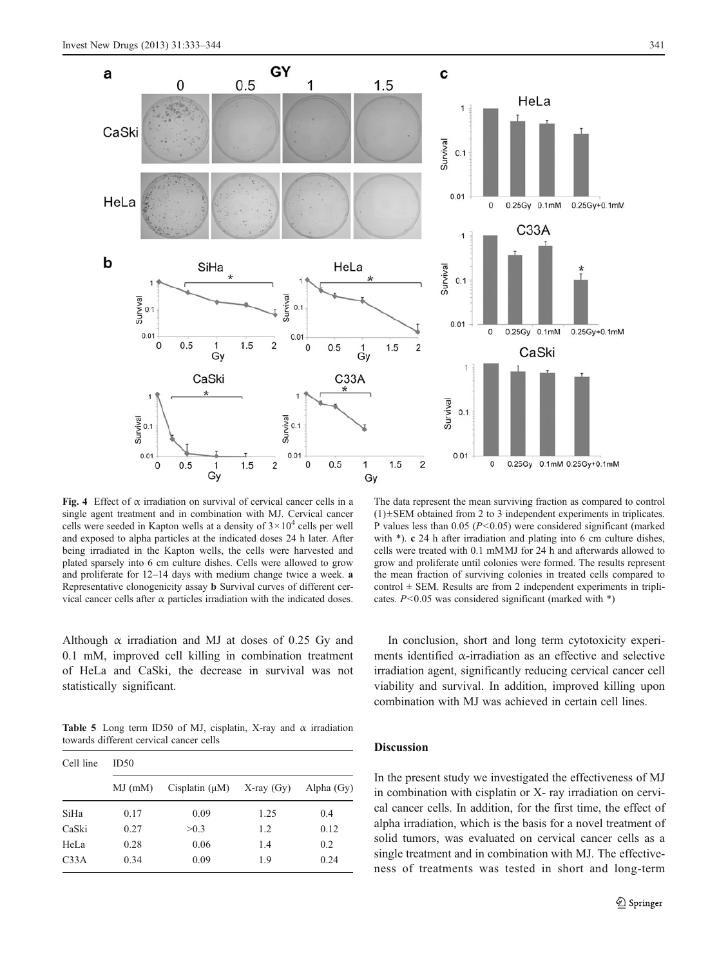<span id="page-8-0"></span>

Fig. 4 Effect of  $\alpha$  irradiation on survival of cervical cancer cells in a single agent treatment and in combination with MJ. Cervical cancer cells were seeded in Kapton wells at a density of  $3 \times 10^4$  cells per well and exposed to alpha particles at the indicated doses 24 h later. After being irradiated in the Kapton wells, the cells were harvested and plated sparsely into 6 cm culture dishes. Cells were allowed to grow and proliferate for 12–14 days with medium change twice a week. a Representative clonogenicity assay b Survival curves of different cervical cancer cells after α particles irradiation with the indicated doses.

Although  $\alpha$  irradiation and MJ at doses of 0.25 Gy and 0.1 mM, improved cell killing in combination treatment of HeLa and CaSki, the decrease in survival was not statistically significant.

Table 5 Long term ID50 of MJ, cisplatin, X-ray and  $\alpha$  irradiation towards different cervical cancer cells

| Cell line        | ID50      |                     |                 |              |  |  |
|------------------|-----------|---------------------|-----------------|--------------|--|--|
|                  | $MJ$ (mM) | Cisplatin $(\mu M)$ | $X$ -ray $(Gy)$ | Alpha $(Gy)$ |  |  |
| SiHa             | 0.17      | 0.09                | 1.25            | 0.4          |  |  |
| CaSki            | 0.27      | >0.3                | 1.2             | 0.12         |  |  |
| HeLa             | 0.28      | 0.06                | 1.4             | 0.2          |  |  |
| C <sub>33A</sub> | 0.34      | 0.09                | 1.9             | 0.24         |  |  |

The data represent the mean surviving fraction as compared to control  $(1) \pm SEM$  obtained from 2 to 3 independent experiments in triplicates. P values less than 0.05 ( $P < 0.05$ ) were considered significant (marked with \*). c 24 h after irradiation and plating into 6 cm culture dishes, cells were treated with 0.1 mMMJ for 24 h and afterwards allowed to grow and proliferate until colonies were formed. The results represent the mean fraction of surviving colonies in treated cells compared to control  $\pm$  SEM. Results are from 2 independent experiments in triplicates.  $P<0.05$  was considered significant (marked with \*)

In conclusion, short and long term cytotoxicity experiments identified  $\alpha$ -irradiation as an effective and selective irradiation agent, significantly reducing cervical cancer cell viability and survival. In addition, improved killing upon combination with MJ was achieved in certain cell lines.

## Discussion

In the present study we investigated the effectiveness of MJ in combination with cisplatin or X- ray irradiation on cervical cancer cells. In addition, for the first time, the effect of alpha irradiation, which is the basis for a novel treatment of solid tumors, was evaluated on cervical cancer cells as a single treatment and in combination with MJ. The effectiveness of treatments was tested in short and long-term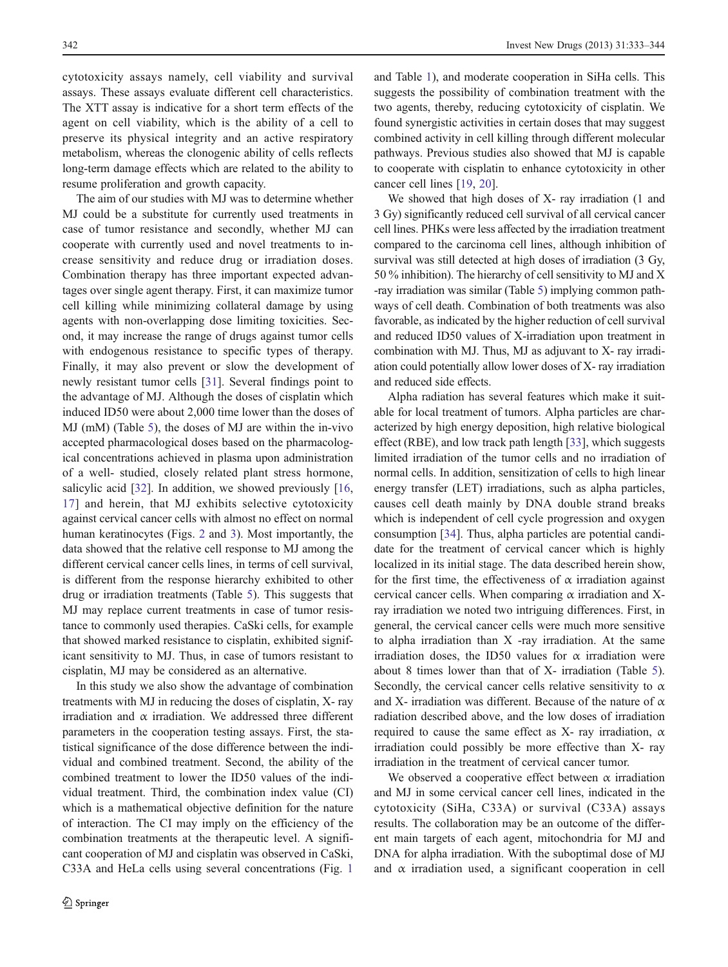cytotoxicity assays namely, cell viability and survival assays. These assays evaluate different cell characteristics. The XTT assay is indicative for a short term effects of the agent on cell viability, which is the ability of a cell to preserve its physical integrity and an active respiratory metabolism, whereas the clonogenic ability of cells reflects long-term damage effects which are related to the ability to resume proliferation and growth capacity.

The aim of our studies with MJ was to determine whether MJ could be a substitute for currently used treatments in case of tumor resistance and secondly, whether MJ can cooperate with currently used and novel treatments to increase sensitivity and reduce drug or irradiation doses. Combination therapy has three important expected advantages over single agent therapy. First, it can maximize tumor cell killing while minimizing collateral damage by using agents with non-overlapping dose limiting toxicities. Second, it may increase the range of drugs against tumor cells with endogenous resistance to specific types of therapy. Finally, it may also prevent or slow the development of newly resistant tumor cells [\[31](#page-11-0)]. Several findings point to the advantage of MJ. Although the doses of cisplatin which induced ID50 were about 2,000 time lower than the doses of MJ (mM) (Table [5\)](#page-8-0), the doses of MJ are within the in-vivo accepted pharmacological doses based on the pharmacological concentrations achieved in plasma upon administration of a well- studied, closely related plant stress hormone, salicylic acid [\[32](#page-11-0)]. In addition, we showed previously [[16,](#page-10-0) [17](#page-10-0)] and herein, that MJ exhibits selective cytotoxicity against cervical cancer cells with almost no effect on normal human keratinocytes (Figs. [2](#page-6-0) and [3\)](#page-7-0). Most importantly, the data showed that the relative cell response to MJ among the different cervical cancer cells lines, in terms of cell survival, is different from the response hierarchy exhibited to other drug or irradiation treatments (Table [5\)](#page-8-0). This suggests that MJ may replace current treatments in case of tumor resistance to commonly used therapies. CaSki cells, for example that showed marked resistance to cisplatin, exhibited significant sensitivity to MJ. Thus, in case of tumors resistant to cisplatin, MJ may be considered as an alternative.

In this study we also show the advantage of combination treatments with MJ in reducing the doses of cisplatin, X- ray irradiation and  $\alpha$  irradiation. We addressed three different parameters in the cooperation testing assays. First, the statistical significance of the dose difference between the individual and combined treatment. Second, the ability of the combined treatment to lower the ID50 values of the individual treatment. Third, the combination index value (CI) which is a mathematical objective definition for the nature of interaction. The CI may imply on the efficiency of the combination treatments at the therapeutic level. A significant cooperation of MJ and cisplatin was observed in CaSki, C33A and HeLa cells using several concentrations (Fig. [1](#page-4-0)

and Table [1\)](#page-4-0), and moderate cooperation in SiHa cells. This suggests the possibility of combination treatment with the two agents, thereby, reducing cytotoxicity of cisplatin. We found synergistic activities in certain doses that may suggest combined activity in cell killing through different molecular pathways. Previous studies also showed that MJ is capable to cooperate with cisplatin to enhance cytotoxicity in other cancer cell lines [[19,](#page-10-0) [20](#page-10-0)].

We showed that high doses of X- ray irradiation (1 and 3 Gy) significantly reduced cell survival of all cervical cancer cell lines. PHKs were less affected by the irradiation treatment compared to the carcinoma cell lines, although inhibition of survival was still detected at high doses of irradiation (3 Gy, 50 % inhibition). The hierarchy of cell sensitivity to MJ and X -ray irradiation was similar (Table [5\)](#page-8-0) implying common pathways of cell death. Combination of both treatments was also favorable, as indicated by the higher reduction of cell survival and reduced ID50 values of X-irradiation upon treatment in combination with MJ. Thus, MJ as adjuvant to X- ray irradiation could potentially allow lower doses of X- ray irradiation and reduced side effects.

Alpha radiation has several features which make it suitable for local treatment of tumors. Alpha particles are characterized by high energy deposition, high relative biological effect (RBE), and low track path length [\[33](#page-11-0)], which suggests limited irradiation of the tumor cells and no irradiation of normal cells. In addition, sensitization of cells to high linear energy transfer (LET) irradiations, such as alpha particles, causes cell death mainly by DNA double strand breaks which is independent of cell cycle progression and oxygen consumption [\[34](#page-11-0)]. Thus, alpha particles are potential candidate for the treatment of cervical cancer which is highly localized in its initial stage. The data described herein show, for the first time, the effectiveness of  $\alpha$  irradiation against cervical cancer cells. When comparing  $\alpha$  irradiation and Xray irradiation we noted two intriguing differences. First, in general, the cervical cancer cells were much more sensitive to alpha irradiation than X -ray irradiation. At the same irradiation doses, the ID50 values for  $\alpha$  irradiation were about 8 times lower than that of X- irradiation (Table [5\)](#page-8-0). Secondly, the cervical cancer cells relative sensitivity to  $\alpha$ and X- irradiation was different. Because of the nature of  $\alpha$ radiation described above, and the low doses of irradiation required to cause the same effect as X- ray irradiation,  $\alpha$ irradiation could possibly be more effective than X- ray irradiation in the treatment of cervical cancer tumor.

We observed a cooperative effect between  $\alpha$  irradiation and MJ in some cervical cancer cell lines, indicated in the cytotoxicity (SiHa, C33A) or survival (C33A) assays results. The collaboration may be an outcome of the different main targets of each agent, mitochondria for MJ and DNA for alpha irradiation. With the suboptimal dose of MJ and  $\alpha$  irradiation used, a significant cooperation in cell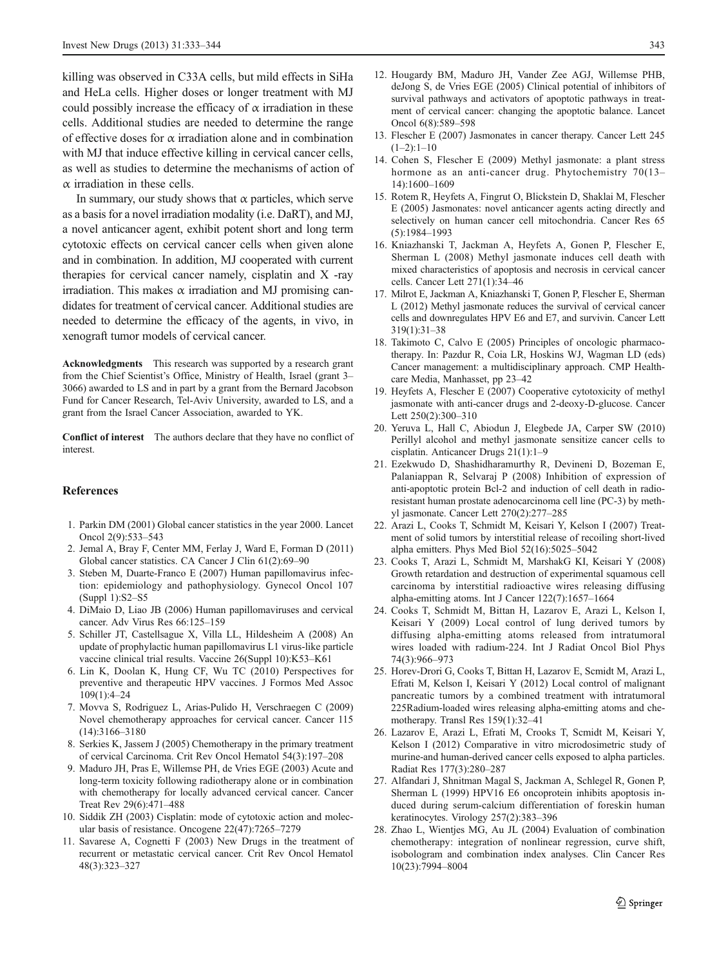<span id="page-10-0"></span>killing was observed in C33A cells, but mild effects in SiHa and HeLa cells. Higher doses or longer treatment with MJ could possibly increase the efficacy of  $\alpha$  irradiation in these cells. Additional studies are needed to determine the range of effective doses for  $\alpha$  irradiation alone and in combination with MJ that induce effective killing in cervical cancer cells, as well as studies to determine the mechanisms of action of  $\alpha$  irradiation in these cells.

In summary, our study shows that  $\alpha$  particles, which serve as a basis for a novel irradiation modality (i.e. DaRT), and MJ, a novel anticancer agent, exhibit potent short and long term cytotoxic effects on cervical cancer cells when given alone and in combination. In addition, MJ cooperated with current therapies for cervical cancer namely, cisplatin and X -ray irradiation. This makes α irradiation and MJ promising candidates for treatment of cervical cancer. Additional studies are needed to determine the efficacy of the agents, in vivo, in xenograft tumor models of cervical cancer.

Acknowledgments This research was supported by a research grant from the Chief Scientist's Office, Ministry of Health, Israel (grant 3– 3066) awarded to LS and in part by a grant from the Bernard Jacobson Fund for Cancer Research, Tel-Aviv University, awarded to LS, and a grant from the Israel Cancer Association, awarded to YK.

Conflict of interest The authors declare that they have no conflict of interest.

#### References

- 1. Parkin DM (2001) Global cancer statistics in the year 2000. Lancet Oncol 2(9):533–543
- 2. Jemal A, Bray F, Center MM, Ferlay J, Ward E, Forman D (2011) Global cancer statistics. CA Cancer J Clin 61(2):69–90
- 3. Steben M, Duarte-Franco E (2007) Human papillomavirus infection: epidemiology and pathophysiology. Gynecol Oncol 107 (Suppl 1):S2–S5
- 4. DiMaio D, Liao JB (2006) Human papillomaviruses and cervical cancer. Adv Virus Res 66:125–159
- 5. Schiller JT, Castellsague X, Villa LL, Hildesheim A (2008) An update of prophylactic human papillomavirus L1 virus-like particle vaccine clinical trial results. Vaccine 26(Suppl 10):K53–K61
- 6. Lin K, Doolan K, Hung CF, Wu TC (2010) Perspectives for preventive and therapeutic HPV vaccines. J Formos Med Assoc 109(1):4–24
- 7. Movva S, Rodriguez L, Arias-Pulido H, Verschraegen C (2009) Novel chemotherapy approaches for cervical cancer. Cancer 115 (14):3166–3180
- 8. Serkies K, Jassem J (2005) Chemotherapy in the primary treatment of cervical Carcinoma. Crit Rev Oncol Hematol 54(3):197–208
- 9. Maduro JH, Pras E, Willemse PH, de Vries EGE (2003) Acute and long-term toxicity following radiotherapy alone or in combination with chemotherapy for locally advanced cervical cancer. Cancer Treat Rev 29(6):471–488
- 10. Siddik ZH (2003) Cisplatin: mode of cytotoxic action and molecular basis of resistance. Oncogene 22(47):7265–7279
- 11. Savarese A, Cognetti F (2003) New Drugs in the treatment of recurrent or metastatic cervical cancer. Crit Rev Oncol Hematol 48(3):323–327
- 12. Hougardy BM, Maduro JH, Vander Zee AGJ, Willemse PHB, deJong S, de Vries EGE (2005) Clinical potential of inhibitors of survival pathways and activators of apoptotic pathways in treatment of cervical cancer: changing the apoptotic balance. Lancet Oncol 6(8):589–598
- 13. Flescher E (2007) Jasmonates in cancer therapy. Cancer Lett 245  $(1-2):1-10$
- 14. Cohen S, Flescher E (2009) Methyl jasmonate: a plant stress hormone as an anti-cancer drug. Phytochemistry 70(13– 14):1600–1609
- 15. Rotem R, Heyfets A, Fingrut O, Blickstein D, Shaklai M, Flescher E (2005) Jasmonates: novel anticancer agents acting directly and selectively on human cancer cell mitochondria. Cancer Res 65 (5):1984–1993
- 16. Kniazhanski T, Jackman A, Heyfets A, Gonen P, Flescher E, Sherman L (2008) Methyl jasmonate induces cell death with mixed characteristics of apoptosis and necrosis in cervical cancer cells. Cancer Lett 271(1):34–46
- 17. Milrot E, Jackman A, Kniazhanski T, Gonen P, Flescher E, Sherman L (2012) Methyl jasmonate reduces the survival of cervical cancer cells and downregulates HPV E6 and E7, and survivin. Cancer Lett 319(1):31–38
- 18. Takimoto C, Calvo E (2005) Principles of oncologic pharmacotherapy. In: Pazdur R, Coia LR, Hoskins WJ, Wagman LD (eds) Cancer management: a multidisciplinary approach. CMP Healthcare Media, Manhasset, pp 23–42
- 19. Heyfets A, Flescher E (2007) Cooperative cytotoxicity of methyl jasmonate with anti-cancer drugs and 2-deoxy-D-glucose. Cancer Lett 250(2):300–310
- 20. Yeruva L, Hall C, Abiodun J, Elegbede JA, Carper SW (2010) Perillyl alcohol and methyl jasmonate sensitize cancer cells to cisplatin. Anticancer Drugs 21(1):1–9
- 21. Ezekwudo D, Shashidharamurthy R, Devineni D, Bozeman E, Palaniappan R, Selvaraj P (2008) Inhibition of expression of anti-apoptotic protein Bcl-2 and induction of cell death in radioresistant human prostate adenocarcinoma cell line (PC-3) by methyl jasmonate. Cancer Lett 270(2):277–285
- 22. Arazi L, Cooks T, Schmidt M, Keisari Y, Kelson I (2007) Treatment of solid tumors by interstitial release of recoiling short-lived alpha emitters. Phys Med Biol 52(16):5025–5042
- 23. Cooks T, Arazi L, Schmidt M, MarshakG KI, Keisari Y (2008) Growth retardation and destruction of experimental squamous cell carcinoma by interstitial radioactive wires releasing diffusing alpha-emitting atoms. Int J Cancer 122(7):1657–1664
- 24. Cooks T, Schmidt M, Bittan H, Lazarov E, Arazi L, Kelson I, Keisari Y (2009) Local control of lung derived tumors by diffusing alpha-emitting atoms released from intratumoral wires loaded with radium-224. Int J Radiat Oncol Biol Phys 74(3):966–973
- 25. Horev-Drori G, Cooks T, Bittan H, Lazarov E, Scmidt M, Arazi L, Efrati M, Kelson I, Keisari Y (2012) Local control of malignant pancreatic tumors by a combined treatment with intratumoral 225Radium-loaded wires releasing alpha-emitting atoms and chemotherapy. Transl Res 159(1):32–41
- 26. Lazarov E, Arazi L, Efrati M, Crooks T, Scmidt M, Keisari Y, Kelson I (2012) Comparative in vitro microdosimetric study of murine-and human-derived cancer cells exposed to alpha particles. Radiat Res 177(3):280–287
- 27. Alfandari J, Shnitman Magal S, Jackman A, Schlegel R, Gonen P, Sherman L (1999) HPV16 E6 oncoprotein inhibits apoptosis induced during serum-calcium differentiation of foreskin human keratinocytes. Virology 257(2):383–396
- 28. Zhao L, Wientjes MG, Au JL (2004) Evaluation of combination chemotherapy: integration of nonlinear regression, curve shift, isobologram and combination index analyses. Clin Cancer Res 10(23):7994–8004